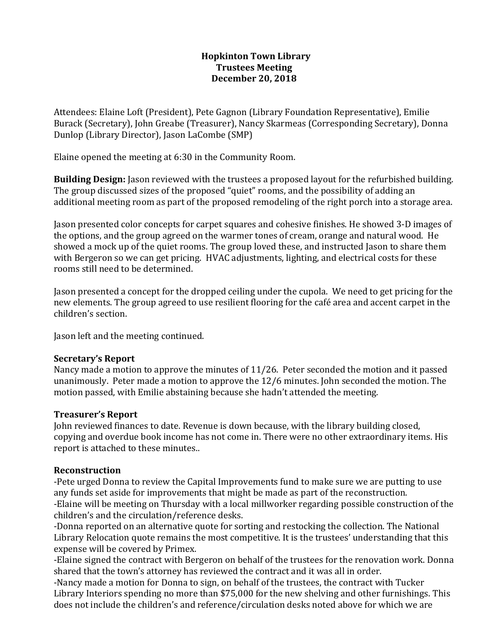#### **Hopkinton Town Library Trustees Meeting December 20, 2018**

Attendees: Elaine Loft (President), Pete Gagnon (Library Foundation Representative), Emilie Burack (Secretary), John Greabe (Treasurer), Nancy Skarmeas (Corresponding Secretary), Donna Dunlop (Library Director), Jason LaCombe (SMP)

Elaine opened the meeting at 6:30 in the Community Room.

**Building Design:** Jason reviewed with the trustees a proposed layout for the refurbished building. The group discussed sizes of the proposed "quiet" rooms, and the possibility of adding an additional meeting room as part of the proposed remodeling of the right porch into a storage area.

Jason presented color concepts for carpet squares and cohesive finishes. He showed 3-D images of the options, and the group agreed on the warmer tones of cream, orange and natural wood. He showed a mock up of the quiet rooms. The group loved these, and instructed Jason to share them with Bergeron so we can get pricing. HVAC adjustments, lighting, and electrical costs for these rooms still need to be determined.

Jason presented a concept for the dropped ceiling under the cupola. We need to get pricing for the new elements. The group agreed to use resilient flooring for the café area and accent carpet in the children's section.

Jason left and the meeting continued.

#### **Secretary's Report**

Nancy made a motion to approve the minutes of 11/26. Peter seconded the motion and it passed unanimously. Peter made a motion to approve the 12/6 minutes. John seconded the motion. The motion passed, with Emilie abstaining because she hadn't attended the meeting.

# **Treasurer's Report**

John reviewed finances to date. Revenue is down because, with the library building closed, copying and overdue book income has not come in. There were no other extraordinary items. His report is attached to these minutes..

# **Reconstruction**

-Pete urged Donna to review the Capital Improvements fund to make sure we are putting to use any funds set aside for improvements that might be made as part of the reconstruction. -Elaine will be meeting on Thursday with a local millworker regarding possible construction of the children's and the circulation/reference desks.

-Donna reported on an alternative quote for sorting and restocking the collection. The National Library Relocation quote remains the most competitive. It is the trustees' understanding that this expense will be covered by Primex.

-Elaine signed the contract with Bergeron on behalf of the trustees for the renovation work. Donna shared that the town's attorney has reviewed the contract and it was all in order.

-Nancy made a motion for Donna to sign, on behalf of the trustees, the contract with Tucker Library Interiors spending no more than \$75,000 for the new shelving and other furnishings. This does not include the children's and reference/circulation desks noted above for which we are